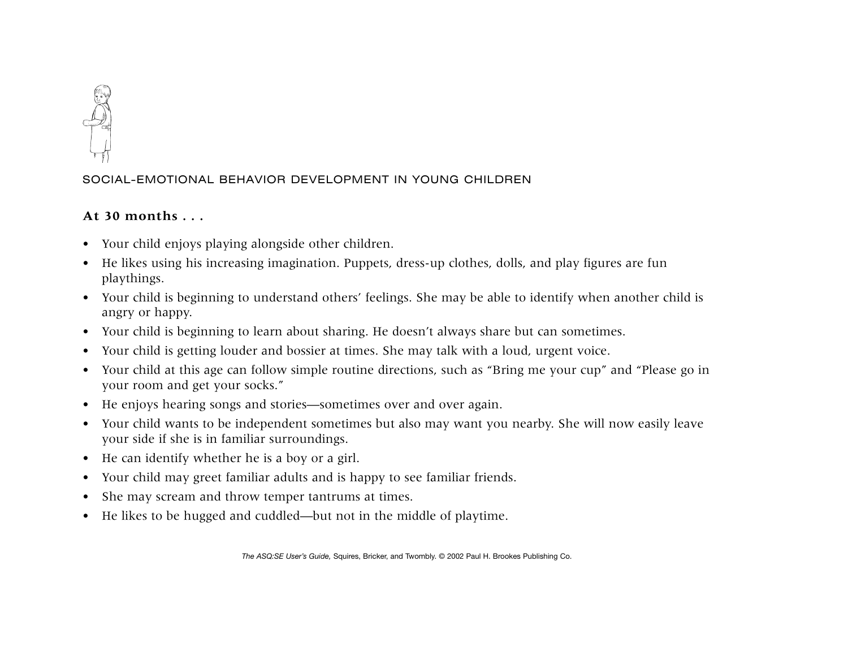

## SOCIAL-EMOTIONAL BEHAVIOR DEVELOPMENT IN YOUNG CHILDREN

## **At 30 months . . .**

- Your child enjoys playing alongside other children.
- He likes using his increasing imagination. Puppets, dress-up clothes, dolls, and play figures are fun playthings.
- Your child is beginning to understand others' feelings. She may be able to identify when another child is angry or happy.
- Your child is beginning to learn about sharing. He doesn't always share but can sometimes.
- $\bullet$ Your child is getting louder and bossier at times. She may talk with a loud, urgent voice.
- Your child at this age can follow simple routine directions, such as "Bring me your cup" and "Please go in your room and get your socks."
- He enjoys hearing songs and stories—sometimes over and over again.
- Your child wants to be independent sometimes but also may want you nearby. She will now easily leave your side if she is in familiar surroundings.
- He can identify whether he is a boy or a girl.
- Your child may greet familiar adults and is happy to see familiar friends.
- $\bullet$ She may scream and throw temper tantrums at times.
- •He likes to be hugged and cuddled—but not in the middle of playtime.